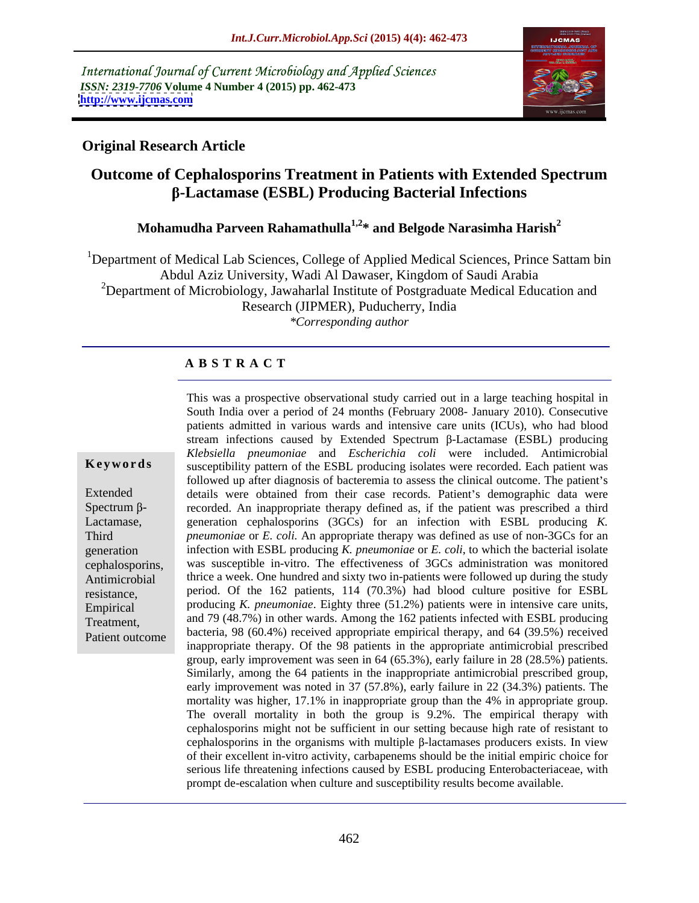International Journal of Current Microbiology and Applied Sciences *ISSN: 2319-7706* **Volume 4 Number 4 (2015) pp. 462-473 <http://www.ijcmas.com>**



### **Original Research Article**

# **Outcome of Cephalosporins Treatment in Patients with Extended Spectrum β-Lactamase (ESBL) Producing Bacterial Infections**

### **Mohamudha Parveen Rahamathulla1,2\* and Belgode Narasimha Harish2**

<sup>1</sup>Department of Medical Lab Sciences, College of Applied Medical Sciences, Prince Sattam bin Abdul Aziz University, Wadi Al Dawaser, Kingdom of Saudi Arabia 2Department of Microbiology, Jawaharlal Institute of Postgraduate Medical Education and Research (JIPMER), Puducherry, India *\*Corresponding author*

#### **A B S T R A C T**

Patient outcome

This was a prospective observational study carried out in a large teaching hospital in South India over a period of 24 months (February 2008- January 2010). Consecutive patients admitted in various wards and intensive care units (ICUs), who had blood stream infections caused by Extended Spectrum  $\beta$ -Lactamase (ESBL) producing *Klebsiella pneumoniae* and *Escherichia coli* were included. Antimicrobial **Keywords** susceptibility pattern of the ESBL producing isolates were recorded. Each patient was followed up after diagnosis of bacteremia to assess the clinical outcome. The patient's Extended details were obtained from their case records. Patient's demographic data were Spectrum  $\beta$ - recorded. An inappropriate therapy defined as, if the patient was prescribed a third Lactamase, generation cephalosporins (3GCs) for an infection with ESBL producing *K*. Third *pneumoniae* or *E. coli.* An appropriate therapy was defined as use of non-3GCs for an infection with ESBL producing *K. pneumoniae* or *E. coli*, to which the bacterial isolate generation was susceptible in-vitro. The effectiveness of 3GCs administration was monitored cephalosporins, thrice a week. One hundred and sixty two in-patients were followed up during the study Antimicrobial resistance, period. Of the 162 patients, 114 (70.3%) had blood culture positive for ESBL Empirical producing *K. pneumoniae*. Eighty three  $(51.2\%)$  patients were in intensive care units, Treatment, and 79 (48.7%) in other wards. Among the 162 patients infected with ESBL producing bacteria, 98 (60.4%) received appropriate empirical therapy, and 64 (39.5%) received inappropriate therapy. Of the 98 patients in the appropriate antimicrobial prescribed group, early improvement was seen in 64 (65.3%), early failure in 28 (28.5%) patients. Similarly, among the 64 patients in the inappropriate antimicrobial prescribed group, early improvement was noted in 37 (57.8%), early failure in 22 (34.3%) patients. The mortality was higher, 17.1% in inappropriate group than the 4% in appropriate group. The overall mortality in both the group is 9.2%. The empirical therapy with cephalosporins might not be sufficient in our setting because high rate of resistant to cephalosporins in the organisms with multiple  $\beta$ -lactamases producers exists. In view of their excellent in-vitro activity, carbapenems should be the initial empiric choice for serious life threatening infections caused by ESBL producing Enterobacteriaceae, with prompt de-escalation when culture and susceptibility results become available.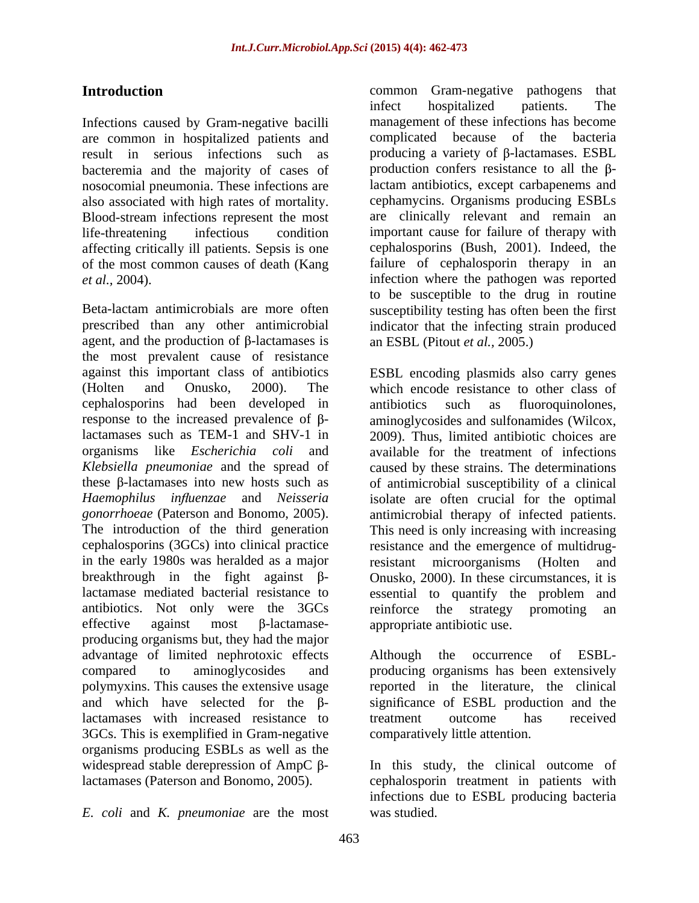Infections caused by Gram-negative bacilli are common in hospitalized patients and result in serious infections such as bacteremia and the majority of cases of nosocomial pneumonia. These infections are also associated with high rates of mortality. Blood-stream infections represent the most are clinically relevant and remain an life-threatening infectious condition important cause for failure of therapy with affecting critically ill patients. Sepsis is one of the most common causes of death (Kang failure of cephalosporin therapy in an

Beta-lactam antimicrobials are more often susceptibility testing has often been the first prescribed than any other antimicrobial indicator that the infecting strain produced agent, and the production of  $\beta$ -lactamases is the most prevalent cause of resistance against this important class of antibiotics ESBL encoding plasmids also carry genes (Holten and Onusko, 2000). The which encode resistance to other class of cephalosporins had been developed in response to the increased prevalence of  $\beta$ - aminoglycosides and sulfonamides (Wilcox, lactamases such as TEM-1 and SHV-1 in 2009). Thus, limited antibiotic choices are organisms like *Escherichia coli* and available for the treatment of infections *Klebsiella pneumoniae* and the spread of caused by these strains. The determinations these  $\beta$ -lactamases into new hosts such as of antimicrobial susceptibility of a clinical *Haemophilus influenzae* and *Neisseria* isolate are often crucial for the optimal *gonorrhoeae* (Paterson and Bonomo, 2005). antimicrobial therapy of infected patients. The introduction of the third generation This need is only increasing with increasing cephalosporins (3GCs) into clinical practice resistance and the emergence of multidrugin the early 1980s was heralded as a major breakthrough in the fight against  $\beta$ - Onusko, 2000). In these circumstances, it is lactamase mediated bacterial resistance to essential to quantify the problem and antibiotics. Not only were the 3GCs reinforce the strategy promoting an effective against most  $\beta$ -lactamase- appropriate antibiotic use. producing organisms but, they had the major advantage of limited nephrotoxic effects Although the occurrence of ESBLcompared to aminoglycosides and producing organisms has been extensively polymyxins. This causes the extensive usage reported in the literature, the clinical and which have selected for the  $\beta$ - significance of ESBL production and the lactamases with increased resistance to treatment outcome has received 3GCs. This is exemplified in Gram-negative organisms producing ESBLs as well as the widespread stable derepression of AmpC  $\beta$ - In this study, the clinical outcome of lactamases (Paterson and Bonomo, 2005). cephalosporin treatment in patients with

*E. coli* and *K. pneumoniae* are the most

**Introduction common** Gram-negative pathogens that *et al.,* 2004). infection where the pathogen was reported infect hospitalized patients. The management of these infections has become complicated because of the bacteria producing a variety of  $\beta$ -lactamases. ESBL production confers resistance to all the  $\beta$ lactam antibiotics, except carbapenems and cephamycins. Organisms producing ESBLs cephalosporins (Bush, 2001). Indeed, the to be susceptible to the drug in routine an ESBL (Pitout *et al.,* 2005.)

> antibiotics such as fluoroquinolones, resistant microorganisms (Holten and reinforce the strategy promoting an

> Although the occurrence of ESBL treatment outcome has received comparatively little attention.

infections due to ESBL producing bacteria was studied.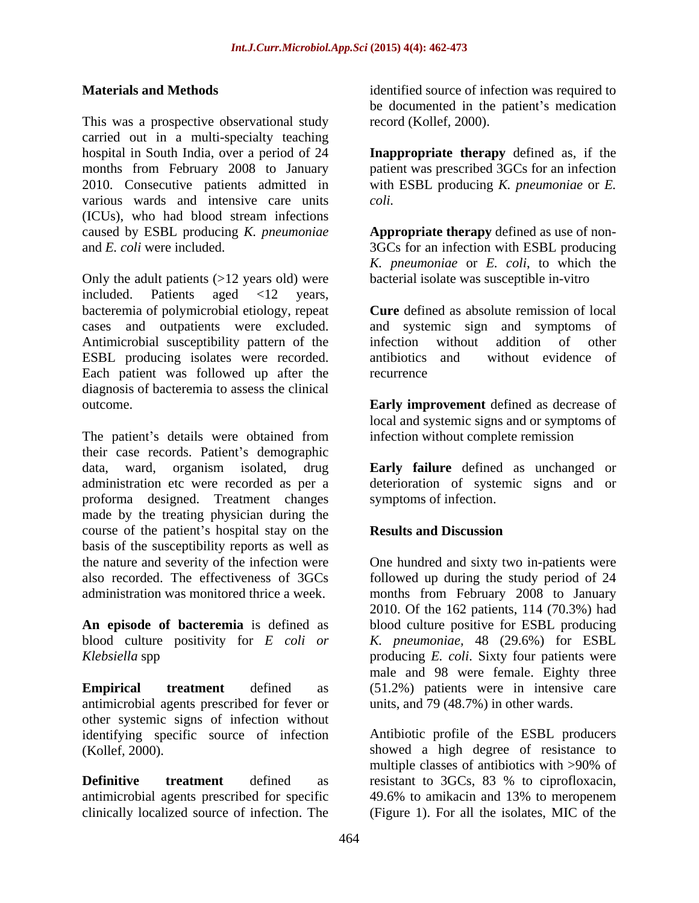This was a prospective observational study carried out in a multi-specialty teaching<br>hospital in South India, over a period of 24 hospital in South India, over a period of 24 **Inappropriate therapy** defined as, if the months from February 2008 to January 2010. Consecutive patients admitted in with ESBL producing *K. pneumoniae* or *E.*  various wards and intensive care units coli. (ICUs), who had blood stream infections caused by ESBL producing *K. pneumoniae* **Appropriate therapy** defined as use of non and *E. coli* were included. 3GCs for an infection with ESBL producing

Only the adult patients  $(>12$  years old) were included. Patients aged <12 years, bacteremia of polymicrobial etiology, repeat cases and outpatients were excluded. and systemic sign and symptoms of Antimicrobial susceptibility pattern of the infection without addition of other ESBL producing isolates were recorded. antibiotics and without evidence of Each patient was followed up after the diagnosis of bacteremia to assess the clinical outcome. **Early improvement** defined as decrease of

The patient's details were obtained from their case records. Patient's demographic data, ward, organism isolated, drug **Early failure** defined as unchanged or administration etc were recorded as per a deterioration of systemic signs and or proforma designed. Treatment changes made by the treating physician during the course of the patient's hospital stay on the **Results and Discussion** basis of the susceptibility reports as well as the nature and severity of the infection were One hundred and sixty two in-patients were also recorded. The effectiveness of 3GCs followed up during the study period of 24

**An episode of bacteremia** is defined as blood culture positivity for *E coli or*

antimicrobial agents prescribed for fever or other systemic signs of infection without identifying specific source of infection (Kollef*,* 2000). showed a high degree of resistance to

clinically localized source of infection. The (Figure 1). For all the isolates, MIC of the

**Materials and Methods identified source of infection was required to** be documented in the patient's medication record (Kollef*,* 2000).

> patient was prescribed 3GCs for an infection *coli.*

*K. pneumoniae* or *E. coli*, to which the bacterial isolate was susceptible in-vitro

**Cure** defined as absolute remission of local infection without addition of other antibiotics and without evidence of recurrence and the state of the state of the state of the state of the state of the state of the state of the state of the state of the state of the state of the state of the state of the state of the state of the state of

local and systemic signs and or symptoms of infection without complete remission

symptoms of infection.

### **Results and Discussion**

administration was monitored thrice a week. months from February 2008 to January *Klebsiella* spp producing *E. coli*. Sixty four patients were **Empirical treatment** defined as (51.2%) patients were in intensive care 2010. Of the 162 patients, 114 (70.3%) had blood culture positive for ESBL producing *K. pneumoniae,* 48 (29.6%) for ESBL male and 98 were female. Eighty three units, and 79 (48.7%) in other wards.

**Definitive treatment** defined as resistant to 3GCs, 83 % to ciprofloxacin, antimicrobial agents prescribed for specific 49.6% to amikacin and 13% to meropenem Antibiotic profile of the ESBL producers multiple classes of antibiotics with >90% of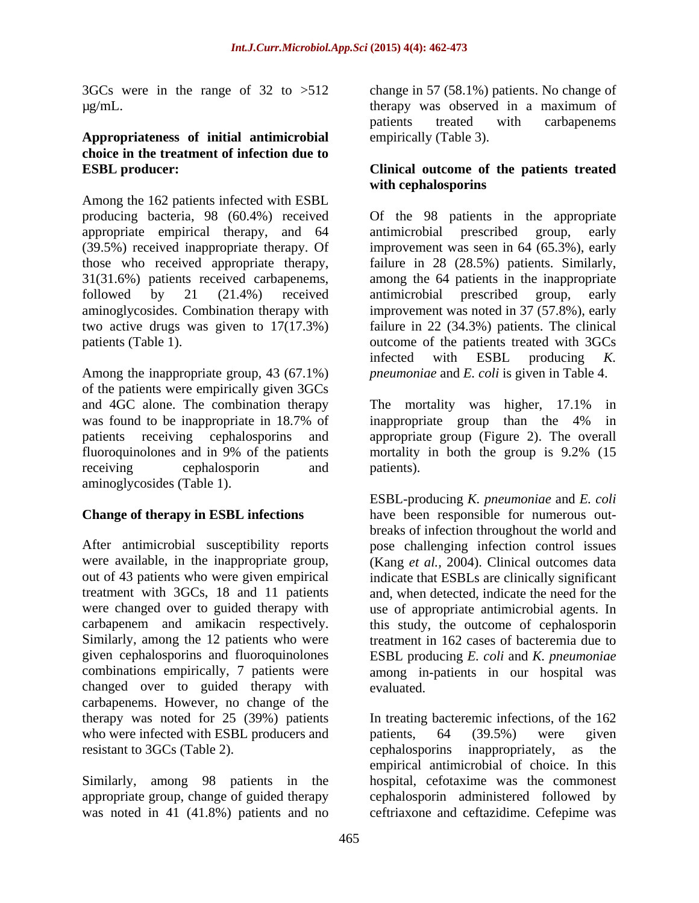3GCs were in the range of 32 to >512

## **Appropriateness of initial antimicrobial choice in the treatment of infection due to**

Among the 162 patients infected with ESBL producing bacteria, 98 (60.4%) received Of the 98 patients in the appropriate appropriate empirical therapy, and 64 antimicrobial prescribed group, early (39.5%) received inappropriate therapy. Of improvement was seen in 64 (65.3%), early those who received appropriate therapy, failure in 28 (28.5%) patients. Similarly, 31(31.6%) patients received carbapenems, among the 64 patients in the inappropriate followed by 21 (21.4%) received aminoglycosides. Combination therapy with improvement was noted in 37 (57.8%), early two active drugs was given to 17(17.3%) failure in 22 (34.3%) patients. The clinical patients (Table 1). The outcome of the patients treated with 3GCs outcome of the patients treated with 3GCs

Among the inappropriate group, 43 (67.1%) of the patients were empirically given 3GCs and 4GC alone. The combination therapy The mortality was higher, 17.1% in was found to be inappropriate in 18.7% of inappropriate group than the 4% in fluoroquinolones and in 9% of the patients mortality in both the group is 9.2% (15 aminoglycosides (Table 1).

changed over to guided therapy with carbapenems. However, no change of the who were infected with ESBL producers and patients, 64 (39.5%) were given resistant to 3GCs (Table 2). cephalosporins inappropriately, as the

was noted in 41 (41.8%) patients and no ceftriaxone and ceftazidime. Cefepime was

µg/mL. therapy was observed in a maximum of change in 57 (58.1%) patients. No change of patients treated with carbapenems empirically (Table 3).

#### **ESBL producer: Clinical outcome of the patients treated with cephalosporins**

antimicrobial prescribed group, early antimicrobial prescribed group, early infected with ESBL producing *K. pneumoniae* and *E. coli* is given in Table 4.

patients receiving cephalosporins and appropriate group (Figure 2). The overall receiving cephalosporin and patients). The mortality was higher, 17.1% in inappropriate group than the 4% in mortality in both the group is 9.2% (15 patients).

**Change of therapy in ESBL infections** have been responsible for numerous out- After antimicrobial susceptibility reports pose challenging infection control issues were available, in the inappropriate group, (Kang *et al.,* 2004). Clinical outcomes data out of 43 patients who were given empirical indicate that ESBLs are clinically significant treatment with 3GCs, 18 and 11 patients and, when detected, indicate the need for the were changed over to guided therapy with use of appropriate antimicrobial agents. In carbapenem and amikacin respectively. this study, the outcome of cephalosporin Similarly, among the 12 patients who were treatment in 162 cases of bacteremia due to given cephalosporins and fluoroquinolones ESBL producing *E. coli* and *K. pneumoniae* combinations empirically, 7 patients were among in-patients in our hospital was ESBL-producing *K. pneumoniae* and *E. coli* breaks of infection throughout the world and evaluated.

therapy was noted for 25 (39%) patients In treating bacteremic infections, of the 162 Similarly, among 98 patients in the hospital, cefotaxime was the commonest appropriate group, change of guided therapy cephalosporin administered followed by patients, 64 (39.5%) were given cephalosporins inappropriately, as the empirical antimicrobial of choice. In this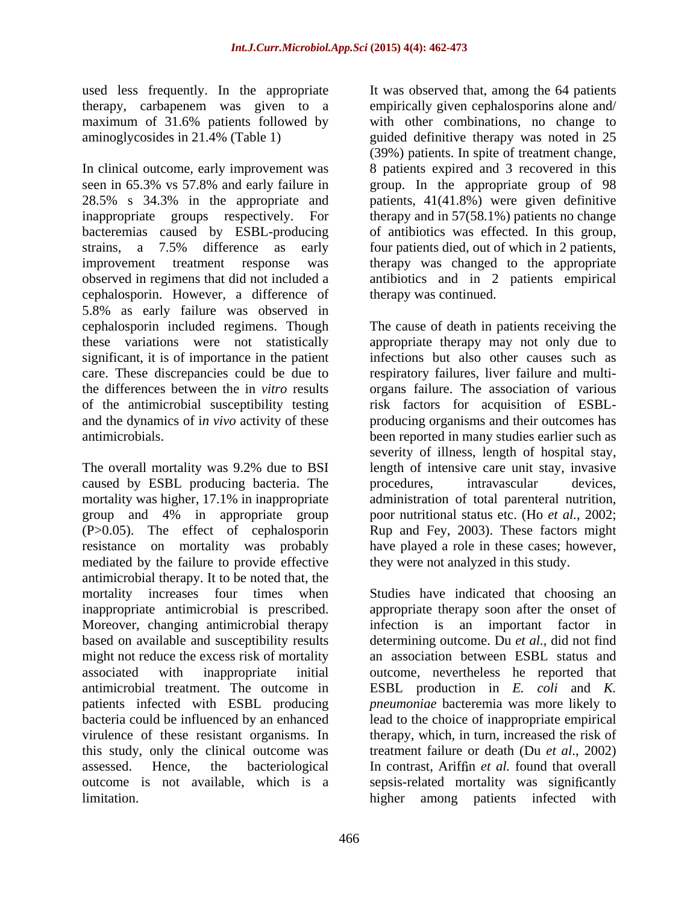used less frequently. In the appropriate maximum of 31.6% patients followed by

In clinical outcome, early improvement was seen in 65.3% vs 57.8% and early failure in group. In the appropriate group of 98 28.5% s 34.3% in the appropriate and patients, 41(41.8%) were given definitive inappropriate groups respectively. For therapy and in 57(58.1%) patients no change bacteremias caused by ESBL-producing strains, a 7.5% difference as early four patients died, out of which in 2 patients, improvement treatment response was therapy was changed to the appropriate observed in regimens that did not included a antibiotics and in 2 patients empirical cephalosporin. However, a difference of 5.8% as early failure was observed in significant, it is of importance in the patient

The overall mortality was 9.2% due to BSI caused by ESBL producing bacteria. The procedures, intravascular devices, mediated by the failure to provide effective antimicrobial therapy. It to be noted that, the Moreover, changing antimicrobial therapy infection is an important factor in might not reduce the excess risk of mortality virulence of these resistant organisms. In this study, only the clinical outcome was

therapy, carbapenem was given to a empirically given cephalosporins alone and/ aminoglycosides in 21.4% (Table 1) guided definitive therapy was noted in 25 It was observed that, among the 64 patients with other combinations, no change to (39%) patients. In spite of treatment change, 8 patients expired and 3 recovered in this of antibiotics was effected. In this group, therapy was continued.

cephalosporin included regimens. Though The cause of death in patients receiving the these variations were not statistically appropriate therapy may not only due to care. These discrepancies could be due to respiratory failures, liver failure and multi the differences between the in *vitro* results organs failure. The association of various of the antimicrobial susceptibility testing risk factors for acquisition of ESBL and the dynamics of i*n vivo* activity of these producing organisms and their outcomes has antimicrobials. been reported in many studies earlier such as mortality was higher, 17.1% in inappropriate administration of total parenteral nutrition, group and 4% in appropriate group poor nutritional status etc. (Ho *et al.*, 2002; (P>0.05). The effect of cephalosporin Rup and Fey, 2003). These factors might resistance on mortality was probably have played a role in these cases; however, infections but also other causes such as severity of illness, length of hospital stay, length of intensive care unit stay, invasive procedures, intravascular devices, they were not analyzed in this study.

mortality increases four times when Studies have indicated that choosing an inappropriate antimicrobial is prescribed. appropriate therapy soon after the onset of based on available and susceptibility results determining outcome. Du *et al.,* did not find associated with inappropriate initial outcome, nevertheless he reported that antimicrobial treatment.The outcome in ESBL production in *E. coli* and *K.* patients infected with ESBL producing *pneumoniae* bacteremia was more likely to bacteria could be influenced by an enhanced lead to the choice of inappropriate empirical assessed. Hence, the bacteriological In contrast, Ariffin *et al.* found that overall outcome is not available, which is a sepsis-related mortality was significantly limitation. higher among patients infected withinfection is an important factor an association between ESBL status and therapy, which, in turn, increased the risk of treatment failure or death (Du *et al*., 2002)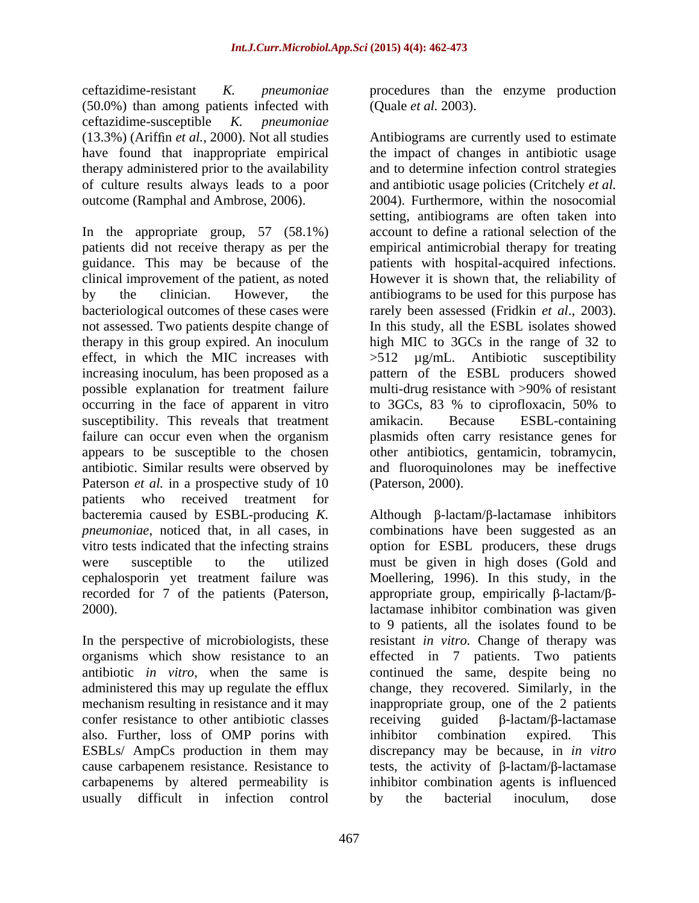ceftazidime-resistant *K. pneumoniae* procedures than the enzyme production (50.0%) than among patients infected with ceftazidime-susceptible *K. pneumoniae*

occurring in the face of apparent in vitro to 3GCs, 83 % to ciprofloxacin, 50% to susceptibility. This reveals that treatment amikacin. Because ESBL-containing appears to be susceptible to the chosen other antibiotics, gentamicin, tobramycin, antibiotic. Similar results were observed by Paterson *et al.* in a prospective study of 10 patients who received treatment for cephalosporin yet treatment failure was

In the perspective of microbiologists, these confer resistance to other antibiotic classes receiving guided  $\beta$ -lactam/ $\beta$ -lactamase also. Further, loss of OMP porins with inhibitor combination expired. This ESBLs/ AmpCs production in them may carbapenems by altered permeability is usually difficult in infection control by the bacterial inoculum, dose

(Quale *et al.* 2003).

(13.3%) (Ariffin *et al.*, 2000). Not all studies Antibiograms are currently used to estimate have found that inappropriate empirical the impact of changes in antibiotic usage therapy administered prior to the availability and to determine infection control strategies of culture results always leads to a poor and antibiotic usage policies (Critchely *et al.* outcome (Ramphal and Ambrose, 2006). 2004). Furthermore, within the nosocomial In the appropriate group, 57 (58.1%) account to define a rational selection of the patients did not receive therapy as per the empirical antimicrobial therapy for treating guidance. This may be because of the patients with hospital-acquired infections. clinical improvement of the patient, as noted However it is shown that, the reliability of by the clinician. However, the antibiograms to be used for this purpose has bacteriological outcomes of these cases were rarely been assessed (Fridkin *et al*., 2003). not assessed. Two patients despite change of In this study, all the ESBL isolates showed therapy in this group expired. An inoculum high MIC to 3GCs in the range of 32 to effect, in which the MIC increases with >512 µg/mL. Antibiotic susceptibility increasing inoculum, has been proposed as a pattern of the ESBL producers showed possible explanation for treatment failure multi-drug resistance with >90% of resistant failure can occur even when the organism plasmids often carry resistance genes for setting, antibiograms are often taken into to 3GCs, 83 % to ciprofloxacin, 50% to amikacin. Because ESBL-containing other antibiotics, gentamicin, tobramycin,and fluoroquinolones may be ineffective (Paterson, 2000).

bacteremia caused by ESBL-producing *K*. Although  $\beta$ -lactam/ $\beta$ -lactamase inhibitors *pneumoniae*, noticed that, in all cases, in combinations have been suggested as an vitro tests indicated that the infecting strains option for ESBL producers, these drugs were susceptible to the utilized must be given in high doses (Gold and recorded for 7 of the patients (Paterson, appropriate group, empirically  $\beta$ -lactam/ $\beta$ -2000). lactamase inhibitor combination was given organisms which show resistance to an effected in 7 patients. Two patients antibiotic *in vitro*, when the same is continued the same, despite being no administered this may up regulate the efflux change, they recovered. Similarly, in the mechanism resulting in resistance and it may inappropriate group, one of the 2 patients cause carbapenem resistance. Resistance to tests, the activity of  $\beta$ -lactam/ $\beta$ -lactamase Moellering, 1996). In this study, in the to 9 patients, all the isolates found to be resistant *in vitro.* Change of therapy was  $\text{receiving}$  guided  $\beta$ -lactam/ $\beta$ -lactamase inhibitor combination expired. This discrepancy may be because, in *in vitro* inhibitor combination agents is influenced by the bacterial inoculum, dose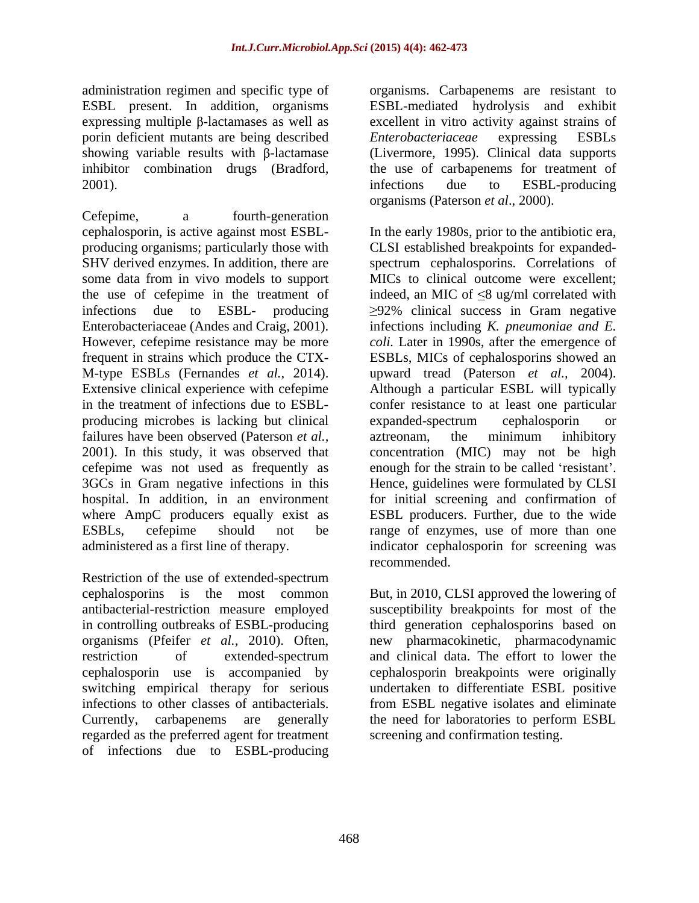expressing multiple  $\beta$ -lactamases as well as porin deficient mutants are being described Enterobacteriaceae expressing ESBLs 2001). The infections due to ESBL-producing

Cefepime, a fourth-generation producing microbes is lacking but clinical failures have been observed (Paterson *et al.*, aztreonam, the minimum inhibitory

Restriction of the use of extended-spectrum cephalosporins is the most common But, in 2010, CLSI approved the lowering of antibacterial-restriction measure employed susceptibility breakpoints for most of the in controlling outbreaks of ESBL-producing third generation cephalosporins based on organisms (Pfeifer *et al.,* 2010). Often, new pharmacokinetic, pharmacodynamic restriction of extended-spectrum and clinical data. The effort to lower the cephalosporin use is accompanied by cephalosporin breakpoints were originally switching empirical therapy for serious undertaken to differentiate ESBL positive infections to other classes of antibacterials. from ESBL negative isolates and eliminate Currently, carbapenems are generally the need for laboratories to perform ESBL regarded as the preferred agent for treatment of infections due to ESBL-producing

administration regimen and specific type of organisms. Carbapenems are resistant to ESBL present. In addition, organisms ESBL-mediated hydrolysis and exhibit showing variable results with  $\beta$ -lactamase (Livermore, 1995). Clinical data supports inhibitor combination drugs (Bradford*,* the use of carbapenems for treatment of excellent in vitro activity against strains of *Enterobacteriaceae* expressing ESBLs infections due to ESBL-producing organisms (Paterson *et al*., 2000).

cephalosporin, is active against most ESBL- In the early 1980s, prior to the antibiotic era, producing organisms; particularly those with CLSI established breakpoints for expanded- SHV derived enzymes. In addition, there are spectrum cephalosporins. Correlations of some data from in vivo models to support MICs to clinical outcome were excellent; the use of cefepime in the treatment of indeed, an MIC of  $\leq$ 8 ug/ml correlated with infections due to ESBL- producing 92% clinical success in Gram negative Enterobacteriaceae (Andes and Craig, 2001). infections including *K. pneumoniae and E.*  However, cefepime resistance may be more *coli.* Later in 1990s, after the emergence of frequent in strains which produce the CTX- ESBLs, MICs of cephalosporins showed an M-type ESBLs (Fernandes *et al.,* 2014). upward tread (Paterson *et al.,* 2004). Extensive clinical experience with cefepime Although a particular ESBL will typically in the treatment of infections due to ESBL- confer resistance to at least one particular 2001). In this study, it was observed that concentration (MIC) may not be high cefepime was not used as frequently as enough for the strain to be called 'resistant'. 3GCs in Gram negative infections in this Hence, guidelines were formulated by CLSI hospital. In addition, in an environment for initial screening and confirmation of where AmpC producers equally exist as ESBL producers. Further, due to the wide ESBLs, cefepime should not be range of enzymes, use of more than one administered as a first line of therapy. indicator cephalosporin for screening was expanded-spectrum cephalosporin or aztreonam, the minimum inhibitory recommended.

screening and confirmation testing.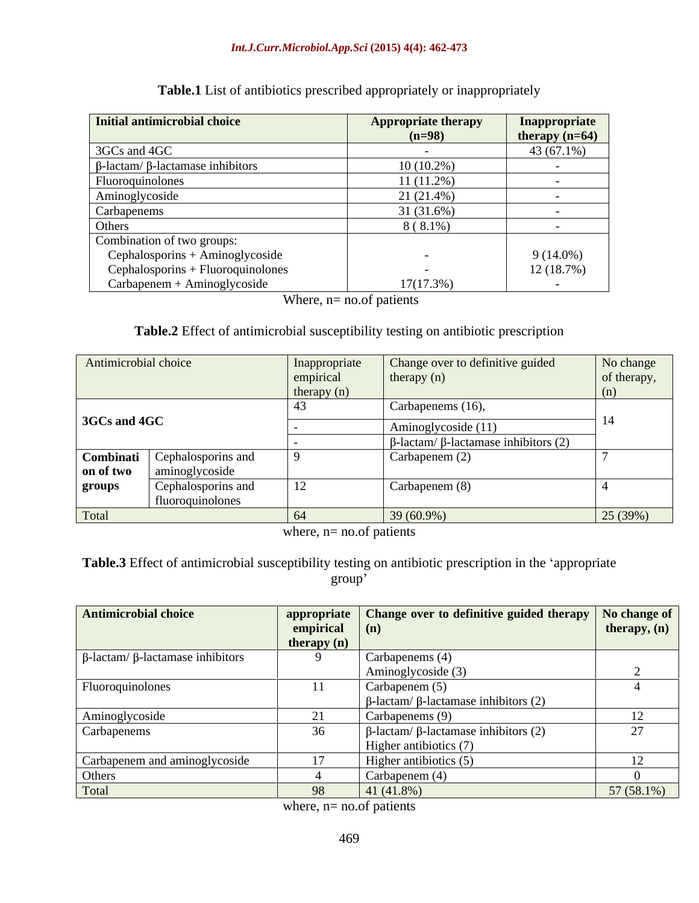#### *Int.J.Curr.Microbiol.App.Sci* **(2015) 4(4): 462-473**

| Initial antimicrobial choice                   | <b>Appropriate therapy</b> | Inappropriate    |
|------------------------------------------------|----------------------------|------------------|
|                                                | $(n=98)$                   | therapy $(n=64)$ |
| 3GCs and 4GC                                   |                            | $43(67.1\%)$     |
| $\beta$ -lactam/ $\beta$ -lactamase inhibitors | $10(10.2\%)$               |                  |
| Fluoroquinolones                               | $11(11.2\%)$               |                  |
| Aminoglycoside                                 | $21(21.4\%)$               |                  |
| Carbapenems                                    | 31(31.6%)                  |                  |
| Others                                         | $8(8.1\%)$                 |                  |
| Combination of two groups:                     |                            |                  |
| Cephalosporins + Aminoglycoside                |                            | $9(14.0\%)$      |
| $Cephalosporins + Fluoroguinolones$            |                            | 12(18.7%)        |
| $Carbapenem + Aminoglycoside$                  | 17(17.3%)                  |                  |

**Table.1** List of antibiotics prescribed appropriately or inappropriately

Where,  $n=$  no.of patients

#### **Table.2** Effect of antimicrobial susceptibility testing on antibiotic prescription

| Antimicrobial choice |                                                       | Inappropriate<br>empirical<br>therapy $(n)$ | Change over to definitive guided<br>therapy $(n)$  | No change<br>of therapy,<br>(n) |
|----------------------|-------------------------------------------------------|---------------------------------------------|----------------------------------------------------|---------------------------------|
| $\vert$ 3GCs and 4GC |                                                       |                                             | Carbapenems (16),<br>Aminoglycoside (11)           |                                 |
|                      |                                                       |                                             | $\beta$ -lactam/ $\beta$ -lactamase inhibitors (2) |                                 |
| on of two            | <b>Combinati</b> Cephalosporins and<br>aminoglycoside |                                             | Carbapenem (2)                                     |                                 |
| groups               | Cephalosporins and<br>fluoroquinolones                | 12                                          | Carbapenem (8)                                     |                                 |
| Total                |                                                       | 64                                          | 39 (60.9%)                                         | 25 (39%)                        |

where, n= no.of patients

**Table.3** Effect of antimicrobial susceptibility testing on antibiotic prescription in the 'appropriate group' group's contract that the contract of the contract of the contract of the contract of the contract of the contract of the contract of the contract of the contract of the contract of the contract of the contract of the cont

| <b>Antimicrobial choice</b>                    |                            | appropriate Change over to definitive guided therapy $\lfloor N_0 \rfloor$ Change of $\lfloor N_1 \rfloor$ |                |
|------------------------------------------------|----------------------------|------------------------------------------------------------------------------------------------------------|----------------|
|                                                | empirical                  | $\mid$ (n)                                                                                                 | therapy, $(n)$ |
|                                                | therapy $(n)$              |                                                                                                            |                |
| $\beta$ -lactam/ $\beta$ -lactamase inhibitors |                            | Carbapenems (4)                                                                                            |                |
|                                                |                            | Aminoglycoside (3)                                                                                         |                |
| Fluoroquinolones                               |                            | Carbapenem $(5)$                                                                                           |                |
|                                                |                            | $\beta$ -lactam/ β-lactamase inhibitors (2)                                                                |                |
| Aminoglycoside                                 | $\overline{\phantom{a}}$ . | Carbapenems (9)                                                                                            |                |
| Carbapenems                                    | 36                         | $β$ -lactam/ $β$ -lactamase inhibitors (2)                                                                 | 27             |
|                                                |                            | Higher antibiotics (7)                                                                                     |                |
| Carbapenem and aminoglycoside                  | 17                         | Higher antibiotics (5)                                                                                     |                |
| Others                                         |                            | Carbapenem (4)                                                                                             |                |
| Total                                          | 98                         | 41(41.8%)                                                                                                  | $57(58.1\%)$   |

where, n= no.of patients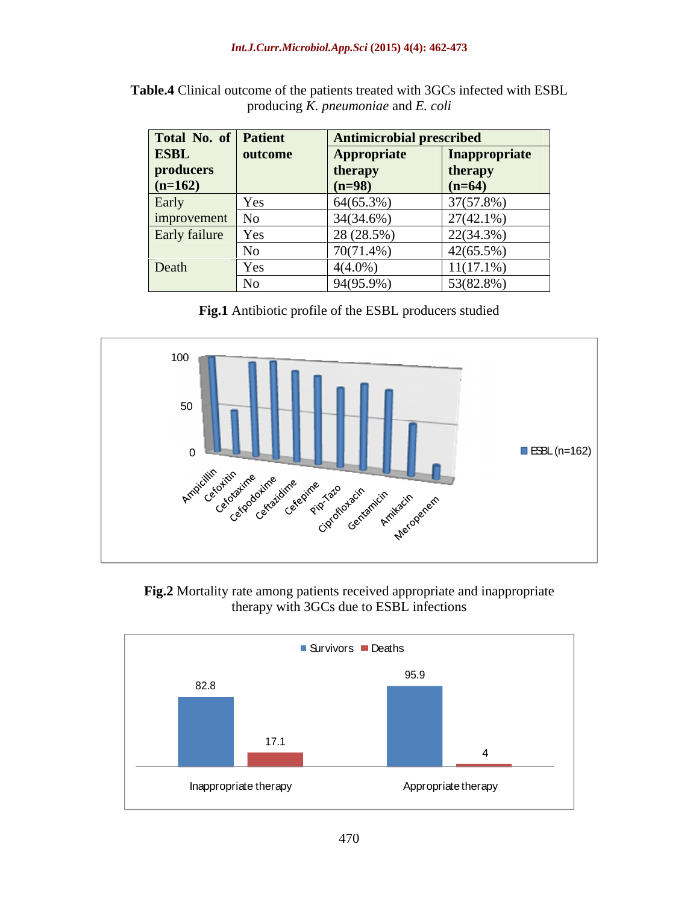| Total No. of Patient |                | <b>Antimicrobial prescribed</b> |                      |
|----------------------|----------------|---------------------------------|----------------------|
| <b>ESBL</b>          | outcome        | <b>Appropriate</b>              | <b>Inappropriate</b> |
| producers            |                | therapy                         | therapy              |
| $(n=162)$            |                | $(n=98)$                        | $(n=64)$             |
| Early                | Yes            | 64(65.3%)                       | 37(57.8%)            |
| improvement No       |                | 34(34.6%)                       | $27(42.1\%)$         |
| Early failure Yes    |                | 28 (28.5%)                      | $22(34.3\%)$         |
|                      | N <sub>C</sub> | 70(71.4%)                       | $42(65.5\%)$         |
| Death                | Yes            | $4(4.0\%)$                      | $11(17.1\%)$         |
|                      | No             | 94(95.9%)                       | 53(82.8%)            |

**Table.4** Clinical outcome of the patients treated with 3GCs infected with ESBL producing *K. pneumoniae* and *E. coli*

**Fig.1** Antibiotic profile of the ESBL producers studied



**Fig.2** Mortality rate among patients received appropriate and inappropriate therapy with 3GCs due to ESBL infections

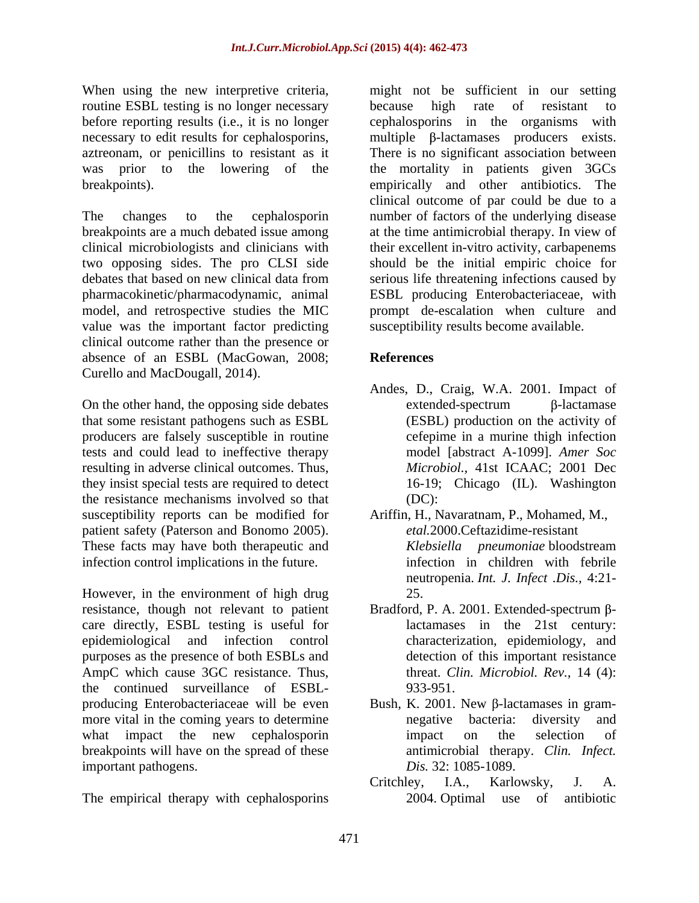routine ESBL testing is no longer necessary because high rate of resistant to before reporting results (i.e., it is no longer

model, and retrospective studies the MIC value was the important factor predicting clinical outcome rather than the presence or absence of an ESBL (MacGowan, 2008;

that some resistant pathogens such as ESBL producers are falsely susceptible in routine tests and could lead to ineffective therapy resulting in adverse clinical outcomes. Thus, they insist special tests are required to detect the resistance mechanisms involved so that susceptibility reports can be modified for Ariffin, H., Navaratnam, P., Mohamed, M., patient safety (Paterson and Bonomo 2005). These facts may have both therapeutic and *Klebsiella pneumoniae* bloodstream infection control implications in the future.

However, in the environment of high drug 25. resistance, though not relevant to patient Bradford, P. A. 2001. Extended-spectrum  $\beta$ care directly, ESBL testing is useful for epidemiological and infection control purposes as the presence of both ESBLs and AmpC which cause 3GC resistance. Thus, the continued surveillance of ESBL producing Enterobacteriaceae will be even  $Bush, K. 2001$ . New  $\beta$ -lactamases in grammore vital in the coming years to determine megative bacteria: diversity and what impact the new cephalosporin impact on the selection of breakpoints will have on the spread of these important pathogens.

The empirical therapy with cephalosporins 2004. Optimal use of antibiotic

When using the new interpretive criteria, might not be sufficient in our setting necessary to edit results for cephalosporins, multiple  $\beta$ -lactamases producers exists. aztreonam, or penicillins to resistant as it There is no significant association between was prior to the lowering of the the mortality in patients given 3GCs breakpoints). empirically and other antibiotics. The The changes to the cephalosporin number of factors of the underlying disease breakpoints are a much debated issue among at the time antimicrobial therapy. In view of clinical microbiologists and clinicians with their excellent in-vitro activity, carbapenems two opposing sides. The pro CLSI side should be the initial empiric choice for debates that based on new clinical data from serious life threatening infections caused by pharmacokinetic/pharmacodynamic, animal ESBL producing Enterobacteriaceae, with because high rate of resistant to cephalosporins in the organisms with clinical outcome of par could be due to a serious life threatening infections caused by prompt de-escalation when culture and susceptibility results become available.

### **References**

- Curello and MacDougall, 2014).<br>
On the other hand, the opposing side debates<br>
On the other hand, the opposing side debates<br>
On the other hand, the opposing side debates<br>  $\beta$ -lactamase Andes, D., Craig, W.A. 2001. Impact of  $extended-spectrum$   $\beta$ -lactamase (ESBL) production on the activity of cefepime in a murine thigh infection model [abstract A-1099]. *Amer Soc Microbiol.,* 41st ICAAC; 2001 Dec 16-19; Chicago (IL). Washington (DC):
	- *etal.*2000.Ceftazidime-resistant *Klebsiella pneumoniae* bloodstream infection in children with febrile neutropenia. *Int. J. Infect .Dis.,* 4:21- 25.
	- lactamases in the 21st century: characterization, epidemiology, and detection of this important resistance threat. *Clin. Microbiol. Rev.,* 14 (4): 933-951.
	- negative bacteria: diversity and impact on the selection of antimicrobial therapy. *Clin. Infect. Dis.* 32: 1085-1089.
	- Critchley, I.A., Karlowsky, J. A.  $2004$ . Optimal use of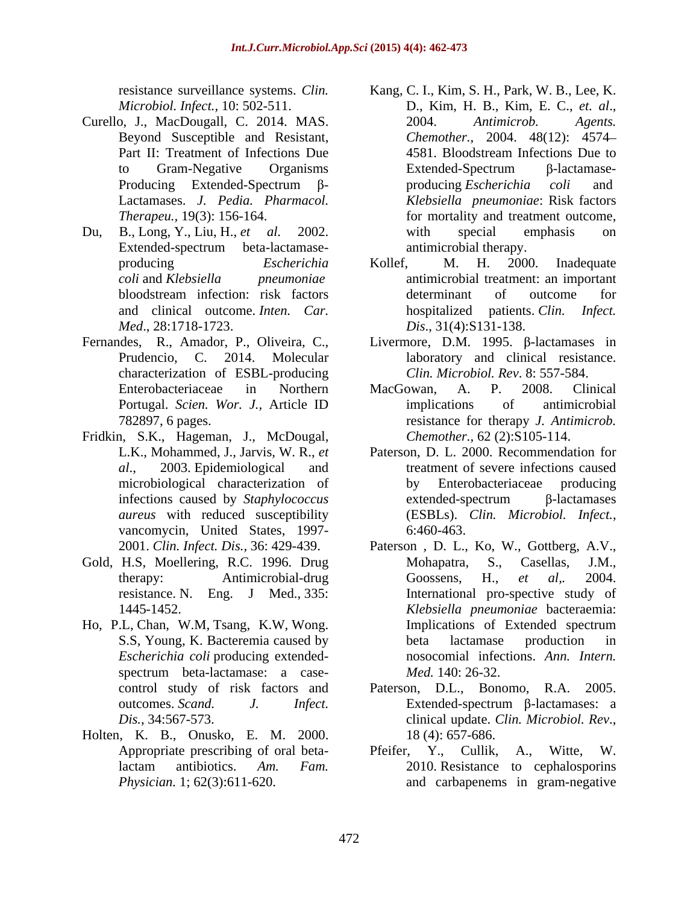- Curello, J., MacDougall, C. 2014. MAS.
- Du, B., Long, Y., Liu, H., *et al.* 2002. Extended-spectrum beta-lactamase and clinical outcome. *Inten. Car.*
- characterization of ESBL-producing
- Fridkin, S.K., Hageman, J., McDougal, vancomycin, United States, 1997-
- Gold, H.S., Moellering, R.C. 1996. Drug Mohapatra, S., Casellas, J.M.,
- Ho, P.L, Chan, W.M, Tsang, K.W, Wong. *Escherichia coli* producing extended-
- Holten, K. B., Onusko, E. M. 2000.
- resistance surveillance systems. *Clin.*  Kang, C. I., Kim, S. H., Park, W. B., Lee, K. *Microbiol. Infect.,* 10: 502-511. D., Kim, H. B., Kim, E. C., *et. al*., 2004. *Antimicrob. Agents.* Beyond Susceptible and Resistant, *Chemother.*, 2004. 48(12): 4574 Part II: Treatment of Infections Due  $\qquad 4581.$  Bloodstream Infections Due to to Gram-Negative Organisms Extended-Spectrum β-lactamase-Producing Extended-Spectrum  $\beta$ - producing *Escherichia coli* and Lactamases. *J. Pedia. Pharmacol. Klebsiella pneumoniae*: Risk factors *Therapeu.,* 19(3): 156-164. for mortality and treatment outcome, 4581. Bloodstream Infections Due to  $Extended-Spectrum$   $\beta$ -lactamaseproducing *Escherichia coli* and with special emphasis on antimicrobial therapy.
- producing *Escherichia coli* and *Klebsiella pneumoniae* antimicrobial treatment: an important bloodstream infection: risk factors *Med*., 28:1718-1723. *Dis*., 31(4):S131-138. Kollef, M. H. 2000. Inadequate determinant of outcome for hospitalized patients. *Clin. Infect.*
- Fernandes, R., Amador, P., Oliveira, C., Livermore, D.M. 1995. β-lactamases in Prudencio, C. 2014. Molecular laboratory and clinical resistance. *Clin. Microbiol. Rev*. 8: 557-584.
	- Enterobacteriaceae in Northern Portugal. *Scien. Wor. J.,* Article ID 782897, 6 pages. resistance for therapy *J. Antimicrob.* MacGowan, A. P. 2008. Clinical implications of antimicrobial *Chemother.,* 62 (2):S105-114.
	- L.K., Mohammed, J., Jarvis, W. R., *et* Paterson, D. L. 2000. Recommendation for *al*., 2003. Epidemiological and treatment of severe infections caused microbiological characterization of by Enterobacteriaceae producing infections caused by *Staphylococcus aureus* with reduced susceptibility (ESBLs). *Clin. Microbiol. Infect.*, 6:460-463. by Enterobacteriaceae producing  $extended-spectrum$   $\beta$ -lactamases
	- 2001. *Clin. Infect. Dis.,* 36: 429-439. Paterson , D. L., Ko, W., Gottberg, A.V., therapy: Antimicrobial-drug Goossens, H., et al., 2004. resistance. N. Eng. J Med., 335: International pro-spective study of 1445-1452. *Klebsiella pneumoniae* bacteraemia: S.S, Young, K. Bacteremia caused by spectrum beta-lactamase: a case-<br> *Med.* 140: 26-32. Mohapatra, S., Casellas, J.M., Goossens, H., *et al,.* 2004. Implications of Extended spectrum beta lactamase production in nosocomial infections. *Ann. Intern. Med.* 140: 26-32.
	- control study of risk factors and Paterson, D.L., Bonomo, R.A. 2005. outcomes. *Scand. J. Infect. Dis.*, 34:567-573.<br> **clinical update.** *Clin. Microbiol. Rev.*,<br> **K.** B., Onusko, E. M. 2000. 18 (4): 657-686. Extended-spectrum  $\beta$ -lactamases: a
	- Appropriate prescribing of oral beta-<br>
	Pfeifer, Y., Cullik, A., Witte, W. lactam antibiotics. *Am. Fam. Physician.* 1; 62(3):611-620. and carbapenems in gram-negative Pfeifer, Y., Cullik, A., Witte, W. 2010. Resistance to cephalosporins